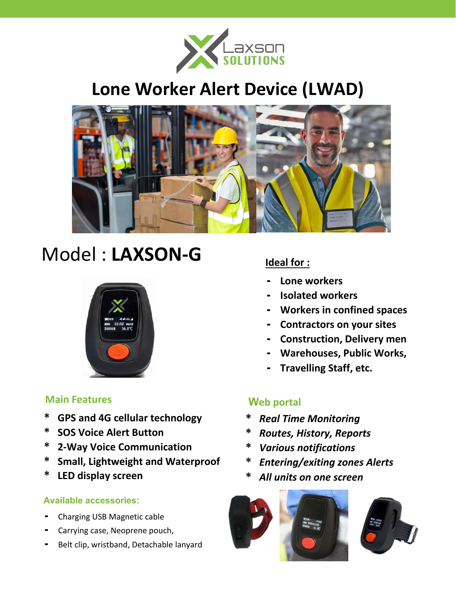

## **Lone Worker Alert Device (LWAD)**



# Model : **LAXSON-G**



### **Main Features Web portal** *Web* **portal**

- **\* GPS and 4G cellular technology**
- **\* SOS Voice Alert Button**
- **\* 2-Way Voice Communication**
- **\* Small, Lightweight and Waterproof**
- **\* LED display screen**

#### **Available accessories:**

- **-** Charging USB Magnetic cable
- **-** Carrying case, Neoprene pouch,
- **-** Belt clip, wristband, Detachable lanyard

#### **Ideal for :**

- **- Lone workers**
- **- Isolated workers**
- **- Workers in confined spaces**
- **- Contractors on your sites**
- **- Construction, Delivery men**
- **- Warehouses, Public Works,**
- **- Travelling Staff, etc.**

- **\*** *Real Time Monitoring*
- **\*** *Routes, History, Reports*
- **\*** *Various notifications*
- **\*** *Entering/exiting zones Alerts*
- **\*** *All units on one screen*